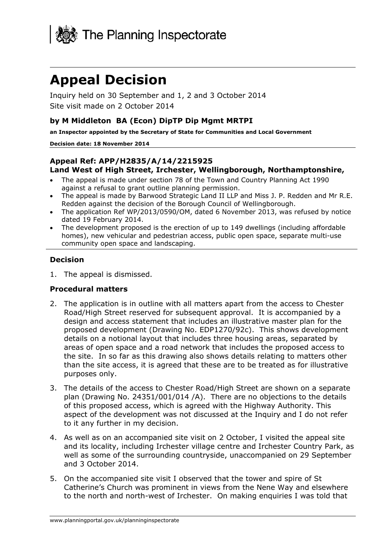

# **Appeal Decision**

Inquiry held on 30 September and 1, 2 and 3 October 2014 Site visit made on 2 October 2014

#### **by M Middleton BA (Econ) DipTP Dip Mgmt MRTPI**

**an Inspector appointed by the Secretary of State for Communities and Local Government** 

#### **Decision date: 18 November 2014**

#### **Appeal Ref: APP/H2835/A/14/2215925 Land West of High Street, Irchester, Wellingborough, Northamptonshire,**

- The appeal is made under section 78 of the Town and Country Planning Act 1990 against a refusal to grant outline planning permission.
- The appeal is made by Barwood Strategic Land II LLP and Miss J. P. Redden and Mr R.E. Redden against the decision of the Borough Council of Wellingborough.
- The application Ref WP/2013/0590/OM, dated 6 November 2013, was refused by notice dated 19 February 2014.
- The development proposed is the erection of up to 149 dwellings (including affordable homes), new vehicular and pedestrian access, public open space, separate multi-use community open space and landscaping.

#### **Decision**

1. The appeal is dismissed.

#### **Procedural matters**

- 2. The application is in outline with all matters apart from the access to Chester Road/High Street reserved for subsequent approval. It is accompanied by a design and access statement that includes an illustrative master plan for the proposed development (Drawing No. EDP1270/92c). This shows development details on a notional layout that includes three housing areas, separated by areas of open space and a road network that includes the proposed access to the site. In so far as this drawing also shows details relating to matters other than the site access, it is agreed that these are to be treated as for illustrative purposes only.
- 3. The details of the access to Chester Road/High Street are shown on a separate plan (Drawing No. 24351/001/014 /A). There are no objections to the details of this proposed access, which is agreed with the Highway Authority. This aspect of the development was not discussed at the Inquiry and I do not refer to it any further in my decision.
- 4. As well as on an accompanied site visit on 2 October, I visited the appeal site and its locality, including Irchester village centre and Irchester Country Park, as well as some of the surrounding countryside, unaccompanied on 29 September and 3 October 2014.
- 5. On the accompanied site visit I observed that the tower and spire of St Catherine's Church was prominent in views from the Nene Way and elsewhere to the north and north-west of Irchester. On making enquiries I was told that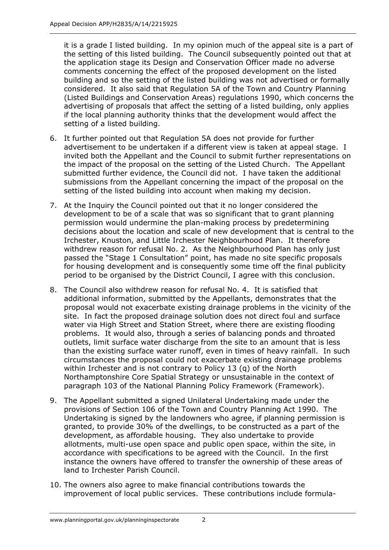it is a grade I listed building. In my opinion much of the appeal site is a part of the setting of this listed building. The Council subsequently pointed out that at the application stage its Design and Conservation Officer made no adverse comments concerning the effect of the proposed development on the listed building and so the setting of the listed building was not advertised or formally considered. It also said that Regulation 5A of the Town and Country Planning (Listed Buildings and Conservation Areas) regulations 1990, which concerns the advertising of proposals that affect the setting of a listed building, only applies if the local planning authority thinks that the development would affect the setting of a listed building.

- 6. It further pointed out that Regulation 5A does not provide for further advertisement to be undertaken if a different view is taken at appeal stage. I invited both the Appellant and the Council to submit further representations on the impact of the proposal on the setting of the Listed Church. The Appellant submitted further evidence, the Council did not. I have taken the additional submissions from the Appellant concerning the impact of the proposal on the setting of the listed building into account when making my decision.
- 7. At the Inquiry the Council pointed out that it no longer considered the development to be of a scale that was so significant that to grant planning permission would undermine the plan-making process by predetermining decisions about the location and scale of new development that is central to the Irchester, Knuston, and Little Irchester Neighbourhood Plan. It therefore withdrew reason for refusal No. 2. As the Neighbourhood Plan has only just passed the "Stage 1 Consultation" point, has made no site specific proposals for housing development and is consequently some time off the final publicity period to be organised by the District Council, I agree with this conclusion.
- 8. The Council also withdrew reason for refusal No. 4. It is satisfied that additional information, submitted by the Appellants, demonstrates that the proposal would not exacerbate existing drainage problems in the vicinity of the site. In fact the proposed drainage solution does not direct foul and surface water via High Street and Station Street, where there are existing flooding problems. It would also, through a series of balancing ponds and throated outlets, limit surface water discharge from the site to an amount that is less than the existing surface water runoff, even in times of heavy rainfall. In such circumstances the proposal could not exacerbate existing drainage problems within Irchester and is not contrary to Policy 13 (q) of the North Northamptonshire Core Spatial Strategy or unsustainable in the context of paragraph 103 of the National Planning Policy Framework (Framework).
- 9. The Appellant submitted a signed Unilateral Undertaking made under the provisions of Section 106 of the Town and Country Planning Act 1990. The Undertaking is signed by the landowners who agree, if planning permission is granted, to provide 30% of the dwellings, to be constructed as a part of the development, as affordable housing. They also undertake to provide allotments, multi-use open space and public open space, within the site, in accordance with specifications to be agreed with the Council. In the first instance the owners have offered to transfer the ownership of these areas of land to Irchester Parish Council.
- 10. The owners also agree to make financial contributions towards the improvement of local public services. These contributions include formula-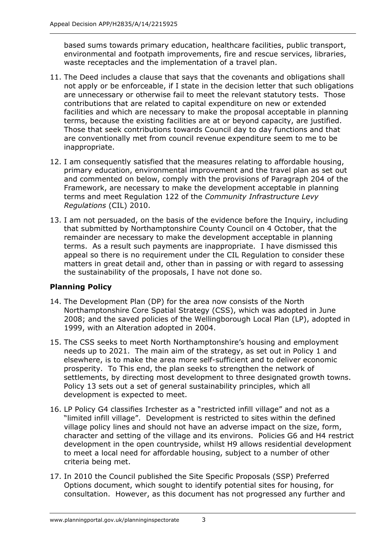based sums towards primary education, healthcare facilities, public transport, environmental and footpath improvements, fire and rescue services, libraries, waste receptacles and the implementation of a travel plan.

- 11. The Deed includes a clause that says that the covenants and obligations shall not apply or be enforceable, if I state in the decision letter that such obligations are unnecessary or otherwise fail to meet the relevant statutory tests. Those contributions that are related to capital expenditure on new or extended facilities and which are necessary to make the proposal acceptable in planning terms, because the existing facilities are at or beyond capacity, are justified. Those that seek contributions towards Council day to day functions and that are conventionally met from council revenue expenditure seem to me to be inappropriate.
- 12. I am consequently satisfied that the measures relating to affordable housing, primary education, environmental improvement and the travel plan as set out and commented on below, comply with the provisions of Paragraph 204 of the Framework, are necessary to make the development acceptable in planning terms and meet Regulation 122 of the *Community Infrastructure Levy Regulations* (CIL) 2010.
- 13. I am not persuaded, on the basis of the evidence before the Inquiry, including that submitted by Northamptonshire County Council on 4 October, that the remainder are necessary to make the development acceptable in planning terms. As a result such payments are inappropriate. I have dismissed this appeal so there is no requirement under the CIL Regulation to consider these matters in great detail and, other than in passing or with regard to assessing the sustainability of the proposals, I have not done so.

# **Planning Policy**

- 14. The Development Plan (DP) for the area now consists of the North Northamptonshire Core Spatial Strategy (CSS), which was adopted in June 2008; and the saved policies of the Wellingborough Local Plan (LP), adopted in 1999, with an Alteration adopted in 2004.
- 15. The CSS seeks to meet North Northamptonshire's housing and employment needs up to 2021. The main aim of the strategy, as set out in Policy 1 and elsewhere, is to make the area more self-sufficient and to deliver economic prosperity. To This end, the plan seeks to strengthen the network of settlements, by directing most development to three designated growth towns. Policy 13 sets out a set of general sustainability principles, which all development is expected to meet.
- 16. LP Policy G4 classifies Irchester as a "restricted infill village" and not as a "limited infill village". Development is restricted to sites within the defined village policy lines and should not have an adverse impact on the size, form, character and setting of the village and its environs. Policies G6 and H4 restrict development in the open countryside, whilst H9 allows residential development to meet a local need for affordable housing, subject to a number of other criteria being met.
- 17. In 2010 the Council published the Site Specific Proposals (SSP) Preferred Options document, which sought to identify potential sites for housing, for consultation. However, as this document has not progressed any further and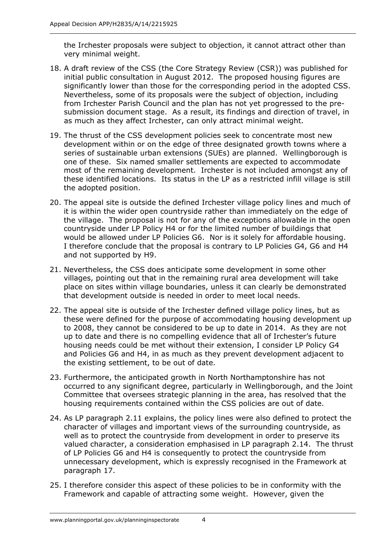the Irchester proposals were subject to objection, it cannot attract other than very minimal weight.

- 18. A draft review of the CSS (the Core Strategy Review (CSR)) was published for initial public consultation in August 2012. The proposed housing figures are significantly lower than those for the corresponding period in the adopted CSS. Nevertheless, some of its proposals were the subject of objection, including from Irchester Parish Council and the plan has not yet progressed to the presubmission document stage. As a result, its findings and direction of travel, in as much as they affect Irchester, can only attract minimal weight.
- 19. The thrust of the CSS development policies seek to concentrate most new development within or on the edge of three designated growth towns where a series of sustainable urban extensions (SUEs) are planned. Wellingborough is one of these. Six named smaller settlements are expected to accommodate most of the remaining development. Irchester is not included amongst any of these identified locations. Its status in the LP as a restricted infill village is still the adopted position.
- 20. The appeal site is outside the defined Irchester village policy lines and much of it is within the wider open countryside rather than immediately on the edge of the village. The proposal is not for any of the exceptions allowable in the open countryside under LP Policy H4 or for the limited number of buildings that would be allowed under LP Policies G6. Nor is it solely for affordable housing. I therefore conclude that the proposal is contrary to LP Policies G4, G6 and H4 and not supported by H9.
- 21. Nevertheless, the CSS does anticipate some development in some other villages, pointing out that in the remaining rural area development will take place on sites within village boundaries, unless it can clearly be demonstrated that development outside is needed in order to meet local needs.
- 22. The appeal site is outside of the Irchester defined village policy lines, but as these were defined for the purpose of accommodating housing development up to 2008, they cannot be considered to be up to date in 2014. As they are not up to date and there is no compelling evidence that all of Irchester's future housing needs could be met without their extension, I consider LP Policy G4 and Policies G6 and H4, in as much as they prevent development adjacent to the existing settlement, to be out of date.
- 23. Furthermore, the anticipated growth in North Northamptonshire has not occurred to any significant degree, particularly in Wellingborough, and the Joint Committee that oversees strategic planning in the area, has resolved that the housing requirements contained within the CSS policies are out of date.
- 24. As LP paragraph 2.11 explains, the policy lines were also defined to protect the character of villages and important views of the surrounding countryside, as well as to protect the countryside from development in order to preserve its valued character, a consideration emphasised in LP paragraph 2.14. The thrust of LP Policies G6 and H4 is consequently to protect the countryside from unnecessary development, which is expressly recognised in the Framework at paragraph 17.
- 25. I therefore consider this aspect of these policies to be in conformity with the Framework and capable of attracting some weight. However, given the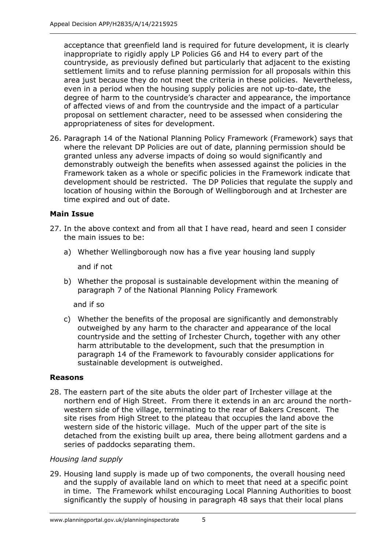acceptance that greenfield land is required for future development, it is clearly inappropriate to rigidly apply LP Policies G6 and H4 to every part of the countryside, as previously defined but particularly that adjacent to the existing settlement limits and to refuse planning permission for all proposals within this area just because they do not meet the criteria in these policies. Nevertheless, even in a period when the housing supply policies are not up-to-date, the degree of harm to the countryside's character and appearance, the importance of affected views of and from the countryside and the impact of a particular proposal on settlement character, need to be assessed when considering the appropriateness of sites for development.

26. Paragraph 14 of the National Planning Policy Framework (Framework) says that where the relevant DP Policies are out of date, planning permission should be granted unless any adverse impacts of doing so would significantly and demonstrably outweigh the benefits when assessed against the policies in the Framework taken as a whole or specific policies in the Framework indicate that development should be restricted. The DP Policies that regulate the supply and location of housing within the Borough of Wellingborough and at Irchester are time expired and out of date.

# **Main Issue**

- 27. In the above context and from all that I have read, heard and seen I consider the main issues to be:
	- a) Whether Wellingborough now has a five year housing land supply

and if not

b) Whether the proposal is sustainable development within the meaning of paragraph 7 of the National Planning Policy Framework

and if so

c) Whether the benefits of the proposal are significantly and demonstrably outweighed by any harm to the character and appearance of the local countryside and the setting of Irchester Church, together with any other harm attributable to the development, such that the presumption in paragraph 14 of the Framework to favourably consider applications for sustainable development is outweighed.

# **Reasons**

28. The eastern part of the site abuts the older part of Irchester village at the northern end of High Street. From there it extends in an arc around the northwestern side of the village, terminating to the rear of Bakers Crescent. The site rises from High Street to the plateau that occupies the land above the western side of the historic village. Much of the upper part of the site is detached from the existing built up area, there being allotment gardens and a series of paddocks separating them.

# *Housing land supply*

29. Housing land supply is made up of two components, the overall housing need and the supply of available land on which to meet that need at a specific point in time. The Framework whilst encouraging Local Planning Authorities to boost significantly the supply of housing in paragraph 48 says that their local plans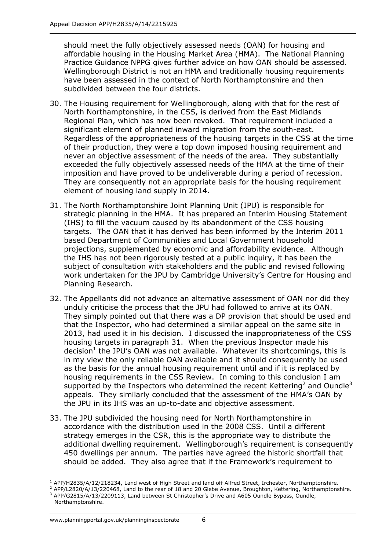should meet the fully objectively assessed needs (OAN) for housing and affordable housing in the Housing Market Area (HMA). The National Planning Practice Guidance NPPG gives further advice on how OAN should be assessed. Wellingborough District is not an HMA and traditionally housing requirements have been assessed in the context of North Northamptonshire and then subdivided between the four districts.

- 30. The Housing requirement for Wellingborough, along with that for the rest of North Northamptonshire, in the CSS, is derived from the East Midlands Regional Plan, which has now been revoked. That requirement included a significant element of planned inward migration from the south-east. Regardless of the appropriateness of the housing targets in the CSS at the time of their production, they were a top down imposed housing requirement and never an objective assessment of the needs of the area. They substantially exceeded the fully objectively assessed needs of the HMA at the time of their imposition and have proved to be undeliverable during a period of recession. They are consequently not an appropriate basis for the housing requirement element of housing land supply in 2014.
- 31. The North Northamptonshire Joint Planning Unit (JPU) is responsible for strategic planning in the HMA. It has prepared an Interim Housing Statement (IHS) to fill the vacuum caused by its abandonment of the CSS housing targets. The OAN that it has derived has been informed by the Interim 2011 based Department of Communities and Local Government household projections, supplemented by economic and affordability evidence. Although the IHS has not been rigorously tested at a public inquiry, it has been the subject of consultation with stakeholders and the public and revised following work undertaken for the JPU by Cambridge University's Centre for Housing and Planning Research.
- 32. The Appellants did not advance an alternative assessment of OAN nor did they unduly criticise the process that the JPU had followed to arrive at its OAN. They simply pointed out that there was a DP provision that should be used and that the Inspector, who had determined a similar appeal on the same site in 2013, had used it in his decision. I discussed the inappropriateness of the CSS housing targets in paragraph 31. When the previous Inspector made his decision<sup>1</sup> the JPU's OAN was not available. Whatever its shortcomings, this is in my view the only reliable OAN available and it should consequently be used as the basis for the annual housing requirement until and if it is replaced by housing requirements in the CSS Review. In coming to this conclusion I am supported by the Inspectors who determined the recent Kettering<sup>2</sup> and Oundle<sup>3</sup> appeals. They similarly concluded that the assessment of the HMA's OAN by the JPU in its IHS was an up-to-date and objective assessment.
- 33. The JPU subdivided the housing need for North Northamptonshire in accordance with the distribution used in the 2008 CSS. Until a different strategy emerges in the CSR, this is the appropriate way to distribute the additional dwelling requirement. Wellingborough's requirement is consequently 450 dwellings per annum. The parties have agreed the historic shortfall that should be added. They also agree that if the Framework's requirement to

<sup>-</sup>1 APP/H2835/A/12/218234, Land west of High Street and land off Alfred Street, Irchester, Northamptonshire.

<sup>&</sup>lt;sup>2</sup> APP/L2820/A/13/220468, Land to the rear of 18 and 20 Glebe Avenue, Broughton, Kettering, Northamptonshire. <sup>3</sup> APP/G2815/A/13/2209113, Land between St Christopher's Drive and A605 Oundle Bypass, Oundle,

Northamptonshire.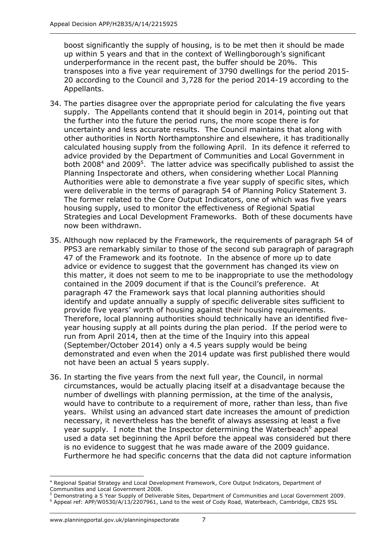boost significantly the supply of housing, is to be met then it should be made up within 5 years and that in the context of Wellingborough's significant underperformance in the recent past, the buffer should be 20%. This transposes into a five year requirement of 3790 dwellings for the period 2015- 20 according to the Council and 3,728 for the period 2014-19 according to the Appellants.

- 34. The parties disagree over the appropriate period for calculating the five years supply. The Appellants contend that it should begin in 2014, pointing out that the further into the future the period runs, the more scope there is for uncertainty and less accurate results. The Council maintains that along with other authorities in North Northamptonshire and elsewhere, it has traditionally calculated housing supply from the following April. In its defence it referred to advice provided by the Department of Communities and Local Government in both 2008<sup>4</sup> and 2009<sup>5</sup>. The latter advice was specifically published to assist the Planning Inspectorate and others, when considering whether Local Planning Authorities were able to demonstrate a five year supply of specific sites, which were deliverable in the terms of paragraph 54 of Planning Policy Statement 3. The former related to the Core Output Indicators, one of which was five years housing supply, used to monitor the effectiveness of Regional Spatial Strategies and Local Development Frameworks. Both of these documents have now been withdrawn.
- 35. Although now replaced by the Framework, the requirements of paragraph 54 of PPS3 are remarkably similar to those of the second sub paragraph of paragraph 47 of the Framework and its footnote. In the absence of more up to date advice or evidence to suggest that the government has changed its view on this matter, it does not seem to me to be inappropriate to use the methodology contained in the 2009 document if that is the Council's preference. At paragraph 47 the Framework says that local planning authorities should identify and update annually a supply of specific deliverable sites sufficient to provide five years' worth of housing against their housing requirements. Therefore, local planning authorities should technically have an identified fiveyear housing supply at all points during the plan period. If the period were to run from April 2014, then at the time of the Inquiry into this appeal (September/October 2014) only a 4.5 years supply would be being demonstrated and even when the 2014 update was first published there would not have been an actual 5 years supply.
- 36. In starting the five years from the next full year, the Council, in normal circumstances, would be actually placing itself at a disadvantage because the number of dwellings with planning permission, at the time of the analysis, would have to contribute to a requirement of more, rather than less, than five years. Whilst using an advanced start date increases the amount of prediction necessary, it nevertheless has the benefit of always assessing at least a five year supply. I note that the Inspector determining the Waterbeach<sup>6</sup> appeal used a data set beginning the April before the appeal was considered but there is no evidence to suggest that he was made aware of the 2009 guidance. Furthermore he had specific concerns that the data did not capture information

-

<sup>4</sup> Regional Spatial Strategy and Local Development Framework, Core Output Indicators, Department of Communities and Local Government 2008.

<sup>5</sup> Demonstrating a 5 Year Supply of Deliverable Sites, Department of Communities and Local Government 2009.

<sup>&</sup>lt;sup>6</sup> Appeal ref: APP/W0530/A/13/2207961, Land to the west of Cody Road, Waterbeach, Cambridge, CB25 9SL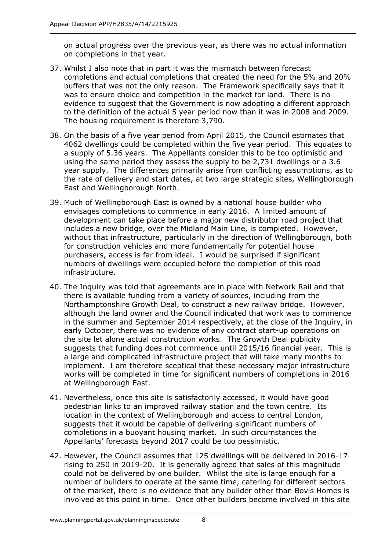on actual progress over the previous year, as there was no actual information on completions in that year.

- 37. Whilst I also note that in part it was the mismatch between forecast completions and actual completions that created the need for the 5% and 20% buffers that was not the only reason. The Framework specifically says that it was to ensure choice and competition in the market for land. There is no evidence to suggest that the Government is now adopting a different approach to the definition of the actual 5 year period now than it was in 2008 and 2009. The housing requirement is therefore 3,790.
- 38. On the basis of a five year period from April 2015, the Council estimates that 4062 dwellings could be completed within the five year period. This equates to a supply of 5.36 years. The Appellants consider this to be too optimistic and using the same period they assess the supply to be 2,731 dwellings or a 3.6 year supply. The differences primarily arise from conflicting assumptions, as to the rate of delivery and start dates, at two large strategic sites, Wellingborough East and Wellingborough North.
- 39. Much of Wellingborough East is owned by a national house builder who envisages completions to commence in early 2016. A limited amount of development can take place before a major new distributor road project that includes a new bridge, over the Midland Main Line, is completed. However, without that infrastructure, particularly in the direction of Wellingborough, both for construction vehicles and more fundamentally for potential house purchasers, access is far from ideal. I would be surprised if significant numbers of dwellings were occupied before the completion of this road infrastructure.
- 40. The Inquiry was told that agreements are in place with Network Rail and that there is available funding from a variety of sources, including from the Northamptonshire Growth Deal, to construct a new railway bridge. However, although the land owner and the Council indicated that work was to commence in the summer and September 2014 respectively, at the close of the Inquiry, in early October, there was no evidence of any contract start-up operations on the site let alone actual construction works. The Growth Deal publicity suggests that funding does not commence until 2015/16 financial year. This is a large and complicated infrastructure project that will take many months to implement. I am therefore sceptical that these necessary major infrastructure works will be completed in time for significant numbers of completions in 2016 at Wellingborough East.
- 41. Nevertheless, once this site is satisfactorily accessed, it would have good pedestrian links to an improved railway station and the town centre. Its location in the context of Wellingborough and access to central London, suggests that it would be capable of delivering significant numbers of completions in a buoyant housing market. In such circumstances the Appellants' forecasts beyond 2017 could be too pessimistic.
- 42. However, the Council assumes that 125 dwellings will be delivered in 2016-17 rising to 250 in 2019-20. It is generally agreed that sales of this magnitude could not be delivered by one builder. Whilst the site is large enough for a number of builders to operate at the same time, catering for different sectors of the market, there is no evidence that any builder other than Bovis Homes is involved at this point in time. Once other builders become involved in this site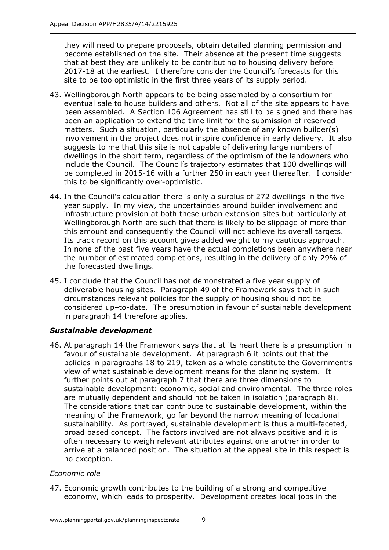they will need to prepare proposals, obtain detailed planning permission and become established on the site. Their absence at the present time suggests that at best they are unlikely to be contributing to housing delivery before 2017-18 at the earliest. I therefore consider the Council's forecasts for this site to be too optimistic in the first three years of its supply period.

- 43. Wellingborough North appears to be being assembled by a consortium for eventual sale to house builders and others. Not all of the site appears to have been assembled. A Section 106 Agreement has still to be signed and there has been an application to extend the time limit for the submission of reserved matters. Such a situation, particularly the absence of any known builder(s) involvement in the project does not inspire confidence in early delivery. It also suggests to me that this site is not capable of delivering large numbers of dwellings in the short term, regardless of the optimism of the landowners who include the Council. The Council's trajectory estimates that 100 dwellings will be completed in 2015-16 with a further 250 in each year thereafter. I consider this to be significantly over-optimistic.
- 44. In the Council's calculation there is only a surplus of 272 dwellings in the five year supply. In my view, the uncertainties around builder involvement and infrastructure provision at both these urban extension sites but particularly at Wellingborough North are such that there is likely to be slippage of more than this amount and consequently the Council will not achieve its overall targets. Its track record on this account gives added weight to my cautious approach. In none of the past five years have the actual completions been anywhere near the number of estimated completions, resulting in the delivery of only 29% of the forecasted dwellings.
- 45. I conclude that the Council has not demonstrated a five year supply of deliverable housing sites. Paragraph 49 of the Framework says that in such circumstances relevant policies for the supply of housing should not be considered up–to-date. The presumption in favour of sustainable development in paragraph 14 therefore applies.

## *Sustainable development*

46. At paragraph 14 the Framework says that at its heart there is a presumption in favour of sustainable development. At paragraph 6 it points out that the policies in paragraphs 18 to 219, taken as a whole constitute the Government's view of what sustainable development means for the planning system. It further points out at paragraph 7 that there are three dimensions to sustainable development: economic, social and environmental. The three roles are mutually dependent and should not be taken in isolation (paragraph 8). The considerations that can contribute to sustainable development, within the meaning of the Framework, go far beyond the narrow meaning of locational sustainability. As portrayed, sustainable development is thus a multi-faceted, broad based concept. The factors involved are not always positive and it is often necessary to weigh relevant attributes against one another in order to arrive at a balanced position. The situation at the appeal site in this respect is no exception.

## *Economic role*

47. Economic growth contributes to the building of a strong and competitive economy, which leads to prosperity. Development creates local jobs in the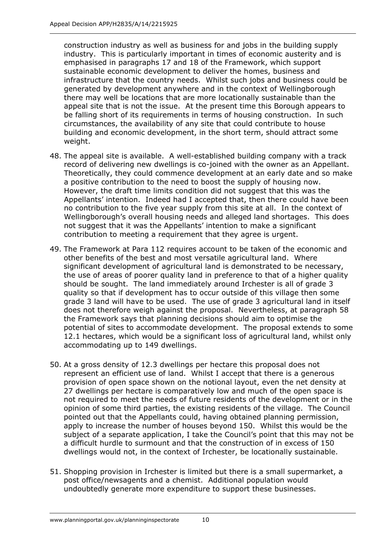construction industry as well as business for and jobs in the building supply industry. This is particularly important in times of economic austerity and is emphasised in paragraphs 17 and 18 of the Framework, which support sustainable economic development to deliver the homes, business and infrastructure that the country needs. Whilst such jobs and business could be generated by development anywhere and in the context of Wellingborough there may well be locations that are more locationally sustainable than the appeal site that is not the issue. At the present time this Borough appears to be falling short of its requirements in terms of housing construction. In such circumstances, the availability of any site that could contribute to house building and economic development, in the short term, should attract some weight.

- 48. The appeal site is available. A well-established building company with a track record of delivering new dwellings is co-joined with the owner as an Appellant. Theoretically, they could commence development at an early date and so make a positive contribution to the need to boost the supply of housing now. However, the draft time limits condition did not suggest that this was the Appellants' intention. Indeed had I accepted that, then there could have been no contribution to the five year supply from this site at all. In the context of Wellingborough's overall housing needs and alleged land shortages. This does not suggest that it was the Appellants' intention to make a significant contribution to meeting a requirement that they agree is urgent.
- 49. The Framework at Para 112 requires account to be taken of the economic and other benefits of the best and most versatile agricultural land. Where significant development of agricultural land is demonstrated to be necessary, the use of areas of poorer quality land in preference to that of a higher quality should be sought. The land immediately around Irchester is all of grade 3 quality so that if development has to occur outside of this village then some grade 3 land will have to be used. The use of grade 3 agricultural land in itself does not therefore weigh against the proposal. Nevertheless, at paragraph 58 the Framework says that planning decisions should aim to optimise the potential of sites to accommodate development. The proposal extends to some 12.1 hectares, which would be a significant loss of agricultural land, whilst only accommodating up to 149 dwellings.
- 50. At a gross density of 12.3 dwellings per hectare this proposal does not represent an efficient use of land. Whilst I accept that there is a generous provision of open space shown on the notional layout, even the net density at 27 dwellings per hectare is comparatively low and much of the open space is not required to meet the needs of future residents of the development or in the opinion of some third parties, the existing residents of the village. The Council pointed out that the Appellants could, having obtained planning permission, apply to increase the number of houses beyond 150. Whilst this would be the subject of a separate application, I take the Council's point that this may not be a difficult hurdle to surmount and that the construction of in excess of 150 dwellings would not, in the context of Irchester, be locationally sustainable.
- 51. Shopping provision in Irchester is limited but there is a small supermarket, a post office/newsagents and a chemist. Additional population would undoubtedly generate more expenditure to support these businesses.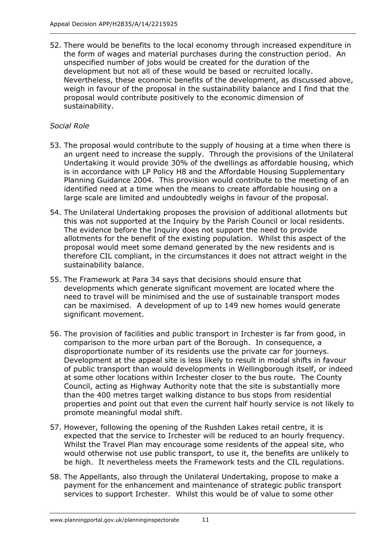52. There would be benefits to the local economy through increased expenditure in the form of wages and material purchases during the construction period. An unspecified number of jobs would be created for the duration of the development but not all of these would be based or recruited locally. Nevertheless, these economic benefits of the development, as discussed above, weigh in favour of the proposal in the sustainability balance and I find that the proposal would contribute positively to the economic dimension of sustainability.

## *Social Role*

- 53. The proposal would contribute to the supply of housing at a time when there is an urgent need to increase the supply. Through the provisions of the Unilateral Undertaking it would provide 30% of the dwellings as affordable housing, which is in accordance with LP Policy H8 and the Affordable Housing Supplementary Planning Guidance 2004. This provision would contribute to the meeting of an identified need at a time when the means to create affordable housing on a large scale are limited and undoubtedly weighs in favour of the proposal.
- 54. The Unilateral Undertaking proposes the provision of additional allotments but this was not supported at the Inquiry by the Parish Council or local residents. The evidence before the Inquiry does not support the need to provide allotments for the benefit of the existing population. Whilst this aspect of the proposal would meet some demand generated by the new residents and is therefore CIL compliant, in the circumstances it does not attract weight in the sustainability balance.
- 55. The Framework at Para 34 says that decisions should ensure that developments which generate significant movement are located where the need to travel will be minimised and the use of sustainable transport modes can be maximised. A development of up to 149 new homes would generate significant movement.
- 56. The provision of facilities and public transport in Irchester is far from good, in comparison to the more urban part of the Borough. In consequence, a disproportionate number of its residents use the private car for journeys. Development at the appeal site is less likely to result in modal shifts in favour of public transport than would developments in Wellingborough itself, or indeed at some other locations within Irchester closer to the bus route. The County Council, acting as Highway Authority note that the site is substantially more than the 400 metres target walking distance to bus stops from residential properties and point out that even the current half hourly service is not likely to promote meaningful modal shift.
- 57. However, following the opening of the Rushden Lakes retail centre, it is expected that the service to Irchester will be reduced to an hourly frequency. Whilst the Travel Plan may encourage some residents of the appeal site, who would otherwise not use public transport, to use it, the benefits are unlikely to be high. It nevertheless meets the Framework tests and the CIL regulations.
- 58. The Appellants, also through the Unilateral Undertaking, propose to make a payment for the enhancement and maintenance of strategic public transport services to support Irchester. Whilst this would be of value to some other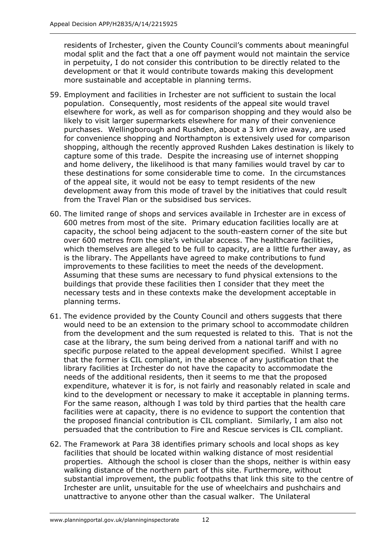residents of Irchester, given the County Council's comments about meaningful modal split and the fact that a one off payment would not maintain the service in perpetuity, I do not consider this contribution to be directly related to the development or that it would contribute towards making this development more sustainable and acceptable in planning terms.

- 59. Employment and facilities in Irchester are not sufficient to sustain the local population. Consequently, most residents of the appeal site would travel elsewhere for work, as well as for comparison shopping and they would also be likely to visit larger supermarkets elsewhere for many of their convenience purchases. Wellingborough and Rushden, about a 3 km drive away, are used for convenience shopping and Northampton is extensively used for comparison shopping, although the recently approved Rushden Lakes destination is likely to capture some of this trade. Despite the increasing use of internet shopping and home delivery, the likelihood is that many families would travel by car to these destinations for some considerable time to come. In the circumstances of the appeal site, it would not be easy to tempt residents of the new development away from this mode of travel by the initiatives that could result from the Travel Plan or the subsidised bus services.
- 60. The limited range of shops and services available in Irchester are in excess of 600 metres from most of the site. Primary education facilities locally are at capacity, the school being adjacent to the south-eastern corner of the site but over 600 metres from the site's vehicular access. The healthcare facilities, which themselves are alleged to be full to capacity, are a little further away, as is the library. The Appellants have agreed to make contributions to fund improvements to these facilities to meet the needs of the development. Assuming that these sums are necessary to fund physical extensions to the buildings that provide these facilities then I consider that they meet the necessary tests and in these contexts make the development acceptable in planning terms.
- 61. The evidence provided by the County Council and others suggests that there would need to be an extension to the primary school to accommodate children from the development and the sum requested is related to this. That is not the case at the library, the sum being derived from a national tariff and with no specific purpose related to the appeal development specified. Whilst I agree that the former is CIL compliant, in the absence of any justification that the library facilities at Irchester do not have the capacity to accommodate the needs of the additional residents, then it seems to me that the proposed expenditure, whatever it is for, is not fairly and reasonably related in scale and kind to the development or necessary to make it acceptable in planning terms. For the same reason, although I was told by third parties that the health care facilities were at capacity, there is no evidence to support the contention that the proposed financial contribution is CIL compliant. Similarly, I am also not persuaded that the contribution to Fire and Rescue services is CIL compliant.
- 62. The Framework at Para 38 identifies primary schools and local shops as key facilities that should be located within walking distance of most residential properties. Although the school is closer than the shops, neither is within easy walking distance of the northern part of this site. Furthermore, without substantial improvement, the public footpaths that link this site to the centre of Irchester are unlit, unsuitable for the use of wheelchairs and pushchairs and unattractive to anyone other than the casual walker. The Unilateral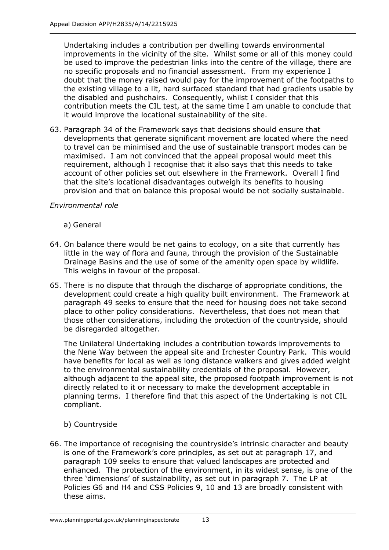Undertaking includes a contribution per dwelling towards environmental improvements in the vicinity of the site. Whilst some or all of this money could be used to improve the pedestrian links into the centre of the village, there are no specific proposals and no financial assessment. From my experience I doubt that the money raised would pay for the improvement of the footpaths to the existing village to a lit, hard surfaced standard that had gradients usable by the disabled and pushchairs. Consequently, whilst I consider that this contribution meets the CIL test, at the same time I am unable to conclude that it would improve the locational sustainability of the site.

63. Paragraph 34 of the Framework says that decisions should ensure that developments that generate significant movement are located where the need to travel can be minimised and the use of sustainable transport modes can be maximised. I am not convinced that the appeal proposal would meet this requirement, although I recognise that it also says that this needs to take account of other policies set out elsewhere in the Framework. Overall I find that the site's locational disadvantages outweigh its benefits to housing provision and that on balance this proposal would be not socially sustainable.

## *Environmental role*

- a) General
- 64. On balance there would be net gains to ecology, on a site that currently has little in the way of flora and fauna, through the provision of the Sustainable Drainage Basins and the use of some of the amenity open space by wildlife. This weighs in favour of the proposal.
- 65. There is no dispute that through the discharge of appropriate conditions, the development could create a high quality built environment. The Framework at paragraph 49 seeks to ensure that the need for housing does not take second place to other policy considerations. Nevertheless, that does not mean that those other considerations, including the protection of the countryside, should be disregarded altogether.

The Unilateral Undertaking includes a contribution towards improvements to the Nene Way between the appeal site and Irchester Country Park. This would have benefits for local as well as long distance walkers and gives added weight to the environmental sustainability credentials of the proposal. However, although adjacent to the appeal site, the proposed footpath improvement is not directly related to it or necessary to make the development acceptable in planning terms. I therefore find that this aspect of the Undertaking is not CIL compliant.

- b) Countryside
- 66. The importance of recognising the countryside's intrinsic character and beauty is one of the Framework's core principles, as set out at paragraph 17, and paragraph 109 seeks to ensure that valued landscapes are protected and enhanced. The protection of the environment, in its widest sense, is one of the three 'dimensions' of sustainability, as set out in paragraph 7. The LP at Policies G6 and H4 and CSS Policies 9, 10 and 13 are broadly consistent with these aims.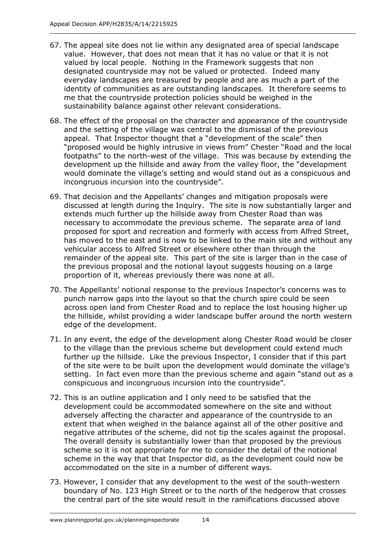- 67. The appeal site does not lie within any designated area of special landscape value. However, that does not mean that it has no value or that it is not valued by local people. Nothing in the Framework suggests that non designated countryside may not be valued or protected. Indeed many everyday landscapes are treasured by people and are as much a part of the identity of communities as are outstanding landscapes. It therefore seems to me that the countryside protection policies should be weighed in the sustainability balance against other relevant considerations.
- 68. The effect of the proposal on the character and appearance of the countryside and the setting of the village was central to the dismissal of the previous appeal. That Inspector thought that a "development of the scale" then "proposed would be highly intrusive in views from" Chester "Road and the local footpaths" to the north-west of the village. This was because by extending the development up the hillside and away from the valley floor, the "development would dominate the village's setting and would stand out as a conspicuous and incongruous incursion into the countryside".
- 69. That decision and the Appellants' changes and mitigation proposals were discussed at length during the Inquiry. The site is now substantially larger and extends much further up the hillside away from Chester Road than was necessary to accommodate the previous scheme. The separate area of land proposed for sport and recreation and formerly with access from Alfred Street, has moved to the east and is now to be linked to the main site and without any vehicular access to Alfred Street or elsewhere other than through the remainder of the appeal site. This part of the site is larger than in the case of the previous proposal and the notional layout suggests housing on a large proportion of it, whereas previously there was none at all.
- 70. The Appellants' notional response to the previous Inspector's concerns was to punch narrow gaps into the layout so that the church spire could be seen across open land from Chester Road and to replace the lost housing higher up the hillside, whilst providing a wider landscape buffer around the north western edge of the development.
- 71. In any event, the edge of the development along Chester Road would be closer to the village than the previous scheme but development could extend much further up the hillside. Like the previous Inspector, I consider that if this part of the site were to be built upon the development would dominate the village's setting. In fact even more than the previous scheme and again "stand out as a conspicuous and incongruous incursion into the countryside".
- 72. This is an outline application and I only need to be satisfied that the development could be accommodated somewhere on the site and without adversely affecting the character and appearance of the countryside to an extent that when weighed in the balance against all of the other positive and negative attributes of the scheme, did not tip the scales against the proposal. The overall density is substantially lower than that proposed by the previous scheme so it is not appropriate for me to consider the detail of the notional scheme in the way that that Inspector did, as the development could now be accommodated on the site in a number of different ways.
- 73. However, I consider that any development to the west of the south-western boundary of No. 123 High Street or to the north of the hedgerow that crosses the central part of the site would result in the ramifications discussed above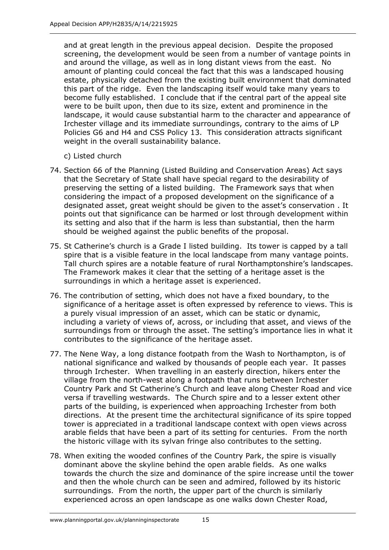and at great length in the previous appeal decision. Despite the proposed screening, the development would be seen from a number of vantage points in and around the village, as well as in long distant views from the east. No amount of planting could conceal the fact that this was a landscaped housing estate, physically detached from the existing built environment that dominated this part of the ridge. Even the landscaping itself would take many years to become fully established. I conclude that if the central part of the appeal site were to be built upon, then due to its size, extent and prominence in the landscape, it would cause substantial harm to the character and appearance of Irchester village and its immediate surroundings, contrary to the aims of LP Policies G6 and H4 and CSS Policy 13. This consideration attracts significant weight in the overall sustainability balance.

- c) Listed church
- 74. Section 66 of the Planning (Listed Building and Conservation Areas) Act says that the Secretary of State shall have special regard to the desirability of preserving the setting of a listed building. The Framework says that when considering the impact of a proposed development on the significance of a designated asset, great weight should be given to the asset's conservation . It points out that significance can be harmed or lost through development within its setting and also that if the harm is less than substantial, then the harm should be weighed against the public benefits of the proposal.
- 75. St Catherine's church is a Grade I listed building. Its tower is capped by a tall spire that is a visible feature in the local landscape from many vantage points. Tall church spires are a notable feature of rural Northamptonshire's landscapes. The Framework makes it clear that the setting of a heritage asset is the surroundings in which a heritage asset is experienced.
- 76. The contribution of setting, which does not have a fixed boundary, to the significance of a heritage asset is often expressed by reference to views. This is a purely visual impression of an asset, which can be static or dynamic, including a variety of views of, across, or including that asset, and views of the surroundings from or through the asset. The setting's importance lies in what it contributes to the significance of the heritage asset.
- 77. The Nene Way, a long distance footpath from the Wash to Northampton, is of national significance and walked by thousands of people each year. It passes through Irchester. When travelling in an easterly direction, hikers enter the village from the north-west along a footpath that runs between Irchester Country Park and St Catherine's Church and leave along Chester Road and vice versa if travelling westwards. The Church spire and to a lesser extent other parts of the building, is experienced when approaching Irchester from both directions. At the present time the architectural significance of its spire topped tower is appreciated in a traditional landscape context with open views across arable fields that have been a part of its setting for centuries. From the north the historic village with its sylvan fringe also contributes to the setting.
- 78. When exiting the wooded confines of the Country Park, the spire is visually dominant above the skyline behind the open arable fields. As one walks towards the church the size and dominance of the spire increase until the tower and then the whole church can be seen and admired, followed by its historic surroundings. From the north, the upper part of the church is similarly experienced across an open landscape as one walks down Chester Road,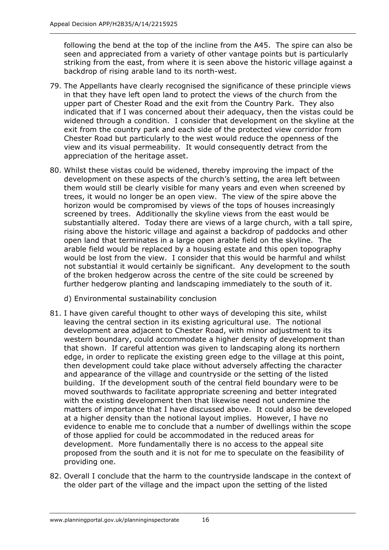following the bend at the top of the incline from the A45. The spire can also be seen and appreciated from a variety of other vantage points but is particularly striking from the east, from where it is seen above the historic village against a backdrop of rising arable land to its north-west.

- 79. The Appellants have clearly recognised the significance of these principle views in that they have left open land to protect the views of the church from the upper part of Chester Road and the exit from the Country Park. They also indicated that if I was concerned about their adequacy, then the vistas could be widened through a condition. I consider that development on the skyline at the exit from the country park and each side of the protected view corridor from Chester Road but particularly to the west would reduce the openness of the view and its visual permeability. It would consequently detract from the appreciation of the heritage asset.
- 80. Whilst these vistas could be widened, thereby improving the impact of the development on these aspects of the church's setting, the area left between them would still be clearly visible for many years and even when screened by trees, it would no longer be an open view. The view of the spire above the horizon would be compromised by views of the tops of houses increasingly screened by trees. Additionally the skyline views from the east would be substantially altered. Today there are views of a large church, with a tall spire, rising above the historic village and against a backdrop of paddocks and other open land that terminates in a large open arable field on the skyline. The arable field would be replaced by a housing estate and this open topography would be lost from the view. I consider that this would be harmful and whilst not substantial it would certainly be significant. Any development to the south of the broken hedgerow across the centre of the site could be screened by further hedgerow planting and landscaping immediately to the south of it.
	- d) Environmental sustainability conclusion
- 81. I have given careful thought to other ways of developing this site, whilst leaving the central section in its existing agricultural use. The notional development area adjacent to Chester Road, with minor adjustment to its western boundary, could accommodate a higher density of development than that shown. If careful attention was given to landscaping along its northern edge, in order to replicate the existing green edge to the village at this point, then development could take place without adversely affecting the character and appearance of the village and countryside or the setting of the listed building. If the development south of the central field boundary were to be moved southwards to facilitate appropriate screening and better integrated with the existing development then that likewise need not undermine the matters of importance that I have discussed above. It could also be developed at a higher density than the notional layout implies. However, I have no evidence to enable me to conclude that a number of dwellings within the scope of those applied for could be accommodated in the reduced areas for development. More fundamentally there is no access to the appeal site proposed from the south and it is not for me to speculate on the feasibility of providing one.
- 82. Overall I conclude that the harm to the countryside landscape in the context of the older part of the village and the impact upon the setting of the listed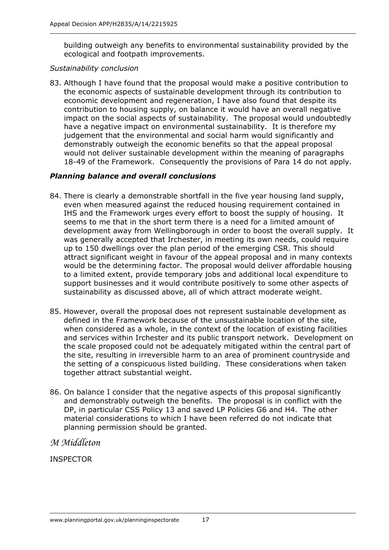building outweigh any benefits to environmental sustainability provided by the ecological and footpath improvements.

#### *Sustainability conclusion*

83. Although I have found that the proposal would make a positive contribution to the economic aspects of sustainable development through its contribution to economic development and regeneration, I have also found that despite its contribution to housing supply, on balance it would have an overall negative impact on the social aspects of sustainability. The proposal would undoubtedly have a negative impact on environmental sustainability. It is therefore my judgement that the environmental and social harm would significantly and demonstrably outweigh the economic benefits so that the appeal proposal would not deliver sustainable development within the meaning of paragraphs 18-49 of the Framework. Consequently the provisions of Para 14 do not apply.

#### *Planning balance and overall conclusions*

- 84. There is clearly a demonstrable shortfall in the five year housing land supply, even when measured against the reduced housing requirement contained in IHS and the Framework urges every effort to boost the supply of housing. It seems to me that in the short term there is a need for a limited amount of development away from Wellingborough in order to boost the overall supply. It was generally accepted that Irchester, in meeting its own needs, could require up to 150 dwellings over the plan period of the emerging CSR. This should attract significant weight in favour of the appeal proposal and in many contexts would be the determining factor. The proposal would deliver affordable housing to a limited extent, provide temporary jobs and additional local expenditure to support businesses and it would contribute positively to some other aspects of sustainability as discussed above, all of which attract moderate weight.
- 85. However, overall the proposal does not represent sustainable development as defined in the Framework because of the unsustainable location of the site, when considered as a whole, in the context of the location of existing facilities and services within Irchester and its public transport network. Development on the scale proposed could not be adequately mitigated within the central part of the site, resulting in irreversible harm to an area of prominent countryside and the setting of a conspicuous listed building. These considerations when taken together attract substantial weight.
- 86. On balance I consider that the negative aspects of this proposal significantly and demonstrably outweigh the benefits. The proposal is in conflict with the DP, in particular CSS Policy 13 and saved LP Policies G6 and H4. The other material considerations to which I have been referred do not indicate that planning permission should be granted.

## *M Middleton*

## INSPECTOR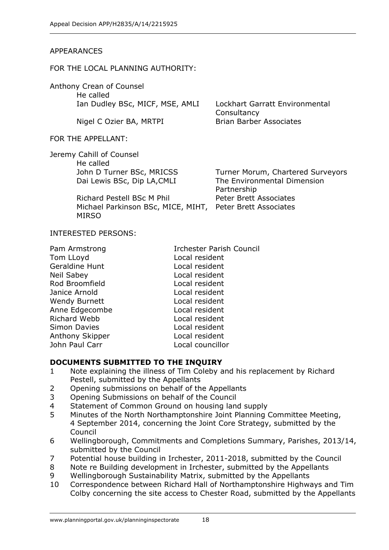#### APPEARANCES

#### FOR THE LOCAL PLANNING AUTHORITY:

Anthony Crean of Counsel He called Ian Dudley BSc, MICF, MSE, AMLI Lockhart Garratt Environmental

Nigel C Ozier BA, MRTPI Brian Barber Associates

#### FOR THE APPELLANT:

Jeremy Cahill of Counsel He called Dai Lewis BSc, Dip LA,CMLI

> Richard Pestell BSc M Phil Michael Parkinson BSc, MICE, MIHT, Peter Brett Associates MIRSO

**Consultancy** 

John D Turner BSc, MRICSS Turner Morum, Chartered Surveyors The Environmental Dimension Partnership Peter Brett Associates

#### INTERESTED PERSONS:

| Pam Armstrong        | <b>Irchester Parish Council</b> |
|----------------------|---------------------------------|
| Tom LLoyd            | Local resident                  |
| Geraldine Hunt       | Local resident                  |
| <b>Neil Sabey</b>    | Local resident                  |
| Rod Broomfield       | Local resident                  |
| Janice Arnold        | Local resident                  |
| <b>Wendy Burnett</b> | Local resident                  |
| Anne Edgecombe       | Local resident                  |
| Richard Webb         | Local resident                  |
| <b>Simon Davies</b>  | Local resident                  |
| Anthony Skipper      | Local resident                  |
| John Paul Carr       | Local councillor                |
|                      |                                 |

#### **DOCUMENTS SUBMITTED TO THE INQUIRY**

- 1 Note explaining the illness of Tim Coleby and his replacement by Richard Pestell, submitted by the Appellants
- 2 Opening submissions on behalf of the Appellants
- 3 Opening Submissions on behalf of the Council
- 4 Statement of Common Ground on housing land supply
- 5 Minutes of the North Northamptonshire Joint Planning Committee Meeting, 4 September 2014, concerning the Joint Core Strategy, submitted by the Council
- 6 Wellingborough, Commitments and Completions Summary, Parishes, 2013/14, submitted by the Council
- 7 Potential house building in Irchester, 2011-2018, submitted by the Council
- 8 Note re Building development in Irchester, submitted by the Appellants
- 9 Wellingborough Sustainability Matrix, submitted by the Appellants
- 10 Correspondence between Richard Hall of Northamptonshire Highways and Tim Colby concerning the site access to Chester Road, submitted by the Appellants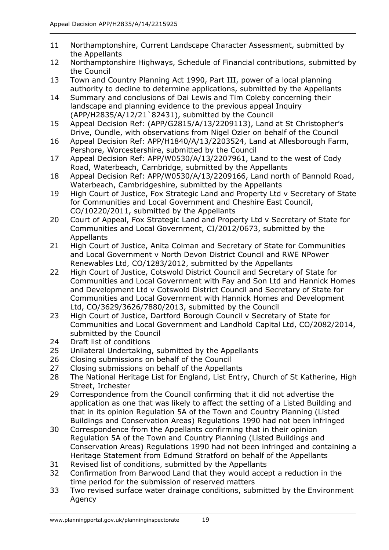- 11 Northamptonshire, Current Landscape Character Assessment, submitted by the Appellants
- 12 Northamptonshire Highways, Schedule of Financial contributions, submitted by the Council
- 13 Town and Country Planning Act 1990, Part III, power of a local planning authority to decline to determine applications, submitted by the Appellants
- 14 Summary and conclusions of Dai Lewis and Tim Coleby concerning their landscape and planning evidence to the previous appeal Inquiry (APP/H2835/A/12/21`82431), submitted by the Council
- 15 Appeal Decision Ref: (APP/G2815/A/13/2209113), Land at St Christopher's Drive, Oundle, with observations from Nigel Ozier on behalf of the Council
- 16 Appeal Decision Ref: APP/H1840/A/13/2203524, Land at Allesborough Farm, Pershore, Worcestershire, submitted by the Council
- 17 Appeal Decision Ref: APP/W0530/A/13/2207961, Land to the west of Cody Road, Waterbeach, Cambridge, submitted by the Appellants
- 18 Appeal Decision Ref: APP/W0530/A/13/2209166, Land north of Bannold Road, Waterbeach, Cambridgeshire, submitted by the Appellants
- 19 High Court of Justice, Fox Strategic Land and Property Ltd v Secretary of State for Communities and Local Government and Cheshire East Council, CO/10220/2011, submitted by the Appellants
- 20 Court of Appeal, Fox Strategic Land and Property Ltd v Secretary of State for Communities and Local Government, CI/2012/0673, submitted by the Appellants
- 21 High Court of Justice, Anita Colman and Secretary of State for Communities and Local Government v North Devon District Council and RWE NPower Renewables Ltd, CO/1283/2012, submitted by the Appellants
- 22 High Court of Justice, Cotswold District Council and Secretary of State for Communities and Local Government with Fay and Son Ltd and Hannick Homes and Development Ltd v Cotswold District Council and Secretary of State for Communities and Local Government with Hannick Homes and Development Ltd, CO/3629/3626/7880/2013, submitted by the Council
- 23 High Court of Justice, Dartford Borough Council v Secretary of State for Communities and Local Government and Landhold Capital Ltd, CO/2082/2014, submitted by the Council
- 24 Draft list of conditions
- 25 Unilateral Undertaking, submitted by the Appellants
- 26 Closing submissions on behalf of the Council
- 27 Closing submissions on behalf of the Appellants
- 28 The National Heritage List for England, List Entry, Church of St Katherine, High Street, Irchester
- 29 Correspondence from the Council confirming that it did not advertise the application as one that was likely to affect the setting of a Listed Building and that in its opinion Regulation 5A of the Town and Country Planning (Listed Buildings and Conservation Areas) Regulations 1990 had not been infringed
- 30 Correspondence from the Appellants confirming that in their opinion Regulation 5A of the Town and Country Planning (Listed Buildings and Conservation Areas) Regulations 1990 had not been infringed and containing a Heritage Statement from Edmund Stratford on behalf of the Appellants
- 31 Revised list of conditions, submitted by the Appellants
- 32 Confirmation from Barwood Land that they would accept a reduction in the time period for the submission of reserved matters
- 33 Two revised surface water drainage conditions, submitted by the Environment Agency